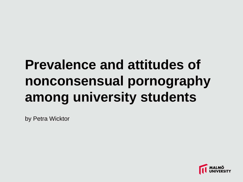# **Prevalence and attitudes of nonconsensual pornography among university students**

by Petra Wicktor

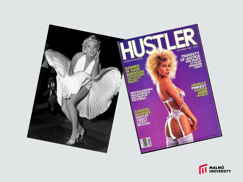

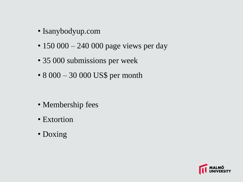- Isanybodyup.com
- 150 000 240 000 page views per day
- 35 000 submissions per week
- 8 000 30 000 US\$ per month

- Membership fees
- Extortion
- Doxing

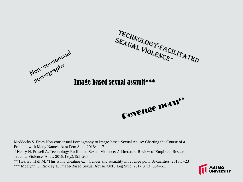TECHNOLOGY-FACILITATED





Maddocks S. From Non-consensual Pornography to Image-based Sexual Abuse: Charting the Course of a Problem with Many Names. Aust Fem Stud. 2018;1–17

\* Henry N, Powell A. Technology-Facilitated Sexual Violence: A Literature Review of Empirical Research. Trauma, Violence, Abus. 2018;19(2):195–208.

\*\* Hearn J, Hall M. 'This is my cheating ex': Gender and sexuality in revenge porn. Sexualities. 2018;1–23 \*\*\* Mcglynn C, Rackley E. Image-Based Sexual Abuse. Oxf J Leg Stud. 2017;37(3):534–61.

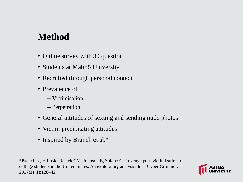### **Method**

- Online survey with 39 question
- Students at Malmö University
- Recruited through personal contact
- Prevalence of
	- Victimisation
	- Perpetration
- General attitudes of sexting and sending nude photos
- Victim precipitating attitudes
- Inspired by Branch et al.\*

\*Branch K, Hilinski-Rosick CM, Johnson E, Solano G. Revenge porn victimization of college students in the United States: An exploratory analysis. Int J Cyber Criminol. 2017;11(1):128–42

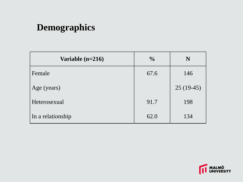## **Demographics**

| Variable $(n=216)$ | $\frac{0}{0}$ | N           |
|--------------------|---------------|-------------|
| Female             | 67.6          | 146         |
| Age (years)        |               | $25(19-45)$ |
| Heterosexual       | 91.7          | 198         |
| In a relationship  | 62.0          | 134         |

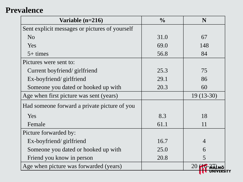#### **Prevalence**

| Variable $(n=216)$                             | $\frac{0}{0}$ | N              |
|------------------------------------------------|---------------|----------------|
| Sent explicit messages or pictures of yourself |               |                |
| N <sub>0</sub>                                 | 31.0          | 67             |
| Yes                                            | 69.0          | 148            |
| $5+$ times                                     | 56.8          | 84             |
| Pictures were sent to:                         |               |                |
| Current boyfriend/girlfriend                   | 25.3          | 75             |
| Ex-boyfriend/girlfriend                        | 29.1          | 86             |
| Someone you dated or hooked up with            | 20.3          | 60             |
| Age when first picture was sent (years)        |               | $19(13-30)$    |
| Had someone forward a private picture of you   |               |                |
| Yes                                            | 8.3           | 18             |
| Female                                         | 61.1          | 11             |
| Picture forwarded by:                          |               |                |
| Ex-boyfriend/girlfriend                        | 16.7          | $\overline{4}$ |
| Someone you dated or hooked up with            | 25.0          | 6              |
| Friend you know in person                      | 20.8          | 5              |
| Age when picture was forwarded (years)         |               | 20             |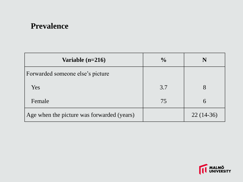#### **Prevalence**

| Variable $(n=216)$                         | $\frac{0}{0}$ |             |
|--------------------------------------------|---------------|-------------|
| Forwarded someone else's picture           |               |             |
| Yes                                        | 3.7           |             |
| Female                                     | 75            |             |
| Age when the picture was forwarded (years) |               | $22(14-36)$ |

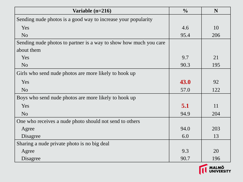| Variable $(n=216)$                                                | $\frac{0}{0}$ | N   |
|-------------------------------------------------------------------|---------------|-----|
| Sending nude photos is a good way to increase your popularity     |               |     |
| Yes                                                               | 4.6           | 10  |
| N <sub>o</sub>                                                    | 95.4          | 206 |
| Sending nude photos to partner is a way to show how much you care |               |     |
| about them                                                        |               |     |
| Yes                                                               | 9.7           | 21  |
| N <sub>o</sub>                                                    | 90.3          | 195 |
| Girls who send nude photos are more likely to hook up             |               |     |
| Yes                                                               | 43.0          | 92  |
| N <sub>o</sub>                                                    | 57.0          | 122 |
| Boys who send nude photos are more likely to hook up              |               |     |
| Yes                                                               | 5.1           | 11  |
| N <sub>o</sub>                                                    | 94.9          | 204 |
| One who receives a nude photo should not send to others           |               |     |
| Agree                                                             | 94.0          | 203 |
| Disagree                                                          | 6.0           | 13  |
| Sharing a nude private photo is no big deal                       |               |     |
| Agree                                                             | 9.3           | 20  |
| Disagree                                                          | 90.7          | 196 |

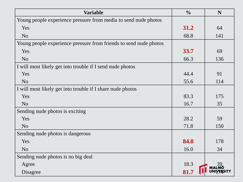| <b>Variable</b>                                                   | $\frac{0}{0}$ | N   |
|-------------------------------------------------------------------|---------------|-----|
| Young people experience pressure from media to send nude photos   |               |     |
| Yes                                                               | 31.2          | 64  |
| N <sub>o</sub>                                                    | 68.8          | 141 |
| Young people experience pressure from friends to send nude photos |               |     |
| Yes                                                               | 33.7          | 69  |
| N <sub>o</sub>                                                    | 66.3          | 136 |
| I will most likely get into trouble if I send nude photos         |               |     |
| Yes                                                               | 44.4          | 91  |
| N <sub>o</sub>                                                    | 55.6          | 114 |
| I will most likely get into trouble if I share nude photos        |               |     |
| Yes                                                               | 83.3          | 175 |
| N <sub>o</sub>                                                    | 16.7          | 35  |
| Sending nude photos is exciting                                   |               |     |
| Yes                                                               | 28.2          | 59  |
| N <sub>o</sub>                                                    | 71.8          | 150 |
| Sending nude photos is dangerous                                  |               |     |
| Yes                                                               | 84.0          | 178 |
| N <sub>o</sub>                                                    | 16.0          | 34  |
| Sending nude photos is no big deal                                |               |     |
| Agree                                                             | 18.3          |     |
| Disagree                                                          | 81.7          |     |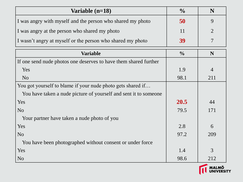| Variable (n=18)                                                   | $\frac{0}{0}$ | N              |
|-------------------------------------------------------------------|---------------|----------------|
| I was angry with myself and the person who shared my photo        | 50            | 9              |
| I was angry at the person who shared my photo                     | 11            | $\overline{2}$ |
| I wasn't angry at myself or the person who shared my photo        | 39            | $\overline{7}$ |
| <b>Variable</b>                                                   | $\frac{0}{0}$ | N              |
| If one send nude photos one deserves to have them shared further  |               |                |
| Yes                                                               | 1.9           | $\overline{4}$ |
| N <sub>o</sub>                                                    | 98.1          | 211            |
| You got yourself to blame if your nude photo gets shared if       |               |                |
| You have taken a nude picture of yourself and sent it to some one |               |                |
| Yes                                                               | 20.5          | 44             |
| N <sub>o</sub>                                                    | 79.5          | 171            |
| Your partner have taken a nude photo of you                       |               |                |
| Yes                                                               | 2.8           | 6              |
| N <sub>o</sub>                                                    | 97.2          | 209            |
| You have been photographed without consent or under force         |               |                |
| Yes                                                               | 1.4           | 3              |
| N <sub>o</sub>                                                    | 98.6          | 212            |

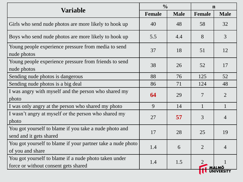| <b>Variable</b>                                                                               | $\frac{0}{0}$ |             | $\mathbf n$    |                |
|-----------------------------------------------------------------------------------------------|---------------|-------------|----------------|----------------|
|                                                                                               | <b>Female</b> | <b>Male</b> | Female         | <b>Male</b>    |
| Girls who send nude photos are more likely to hook up                                         | 40            | 48          | 58             | 32             |
| Boys who send nude photos are more likely to hook up                                          | 5.5           | 4.4         | 8              | 3              |
| Young people experience pressure from media to send<br>nude photos                            | 37            | 18          | 51             | 12             |
| Young people experience pressure from friends to send<br>nude photos                          | 38            | 26          | 52             | 17             |
| Sending nude photos is dangerous                                                              | 88            | 76          | 125            | 52             |
| Sending nude photos is a big deal                                                             | 86            | 71          | 124            | 48             |
| I was angry with myself and the person who shared my<br>photo                                 | 64            | 29          | 7              | $\overline{2}$ |
| I was only angry at the person who shared my photo                                            | 9             | 14          | $\mathbf{1}$   | $\mathbf{1}$   |
| I wasn't angry at myself or the person who shared my<br>photo                                 | 27            | 57          | 3              | $\overline{4}$ |
| You got yourself to blame if you take a nude photo and<br>send and it gets shared             | 17            | 28          | 25             | 19             |
| You got yourself to blame if your partner take a nude photo<br>of you and share               | 1.4           | 6           | $\overline{2}$ | $\overline{4}$ |
| You got yourself to blame if a nude photo taken under<br>force or without consent gets shared | 1.4           | 1.5         |                |                |
|                                                                                               |               |             |                |                |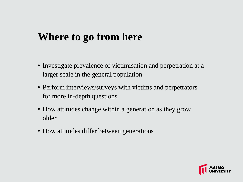# **Where to go from here**

- Investigate prevalence of victimisation and perpetration at a larger scale in the general population
- Perform interviews/surveys with victims and perpetrators for more in-depth questions
- How attitudes change within a generation as they grow older
- How attitudes differ between generations